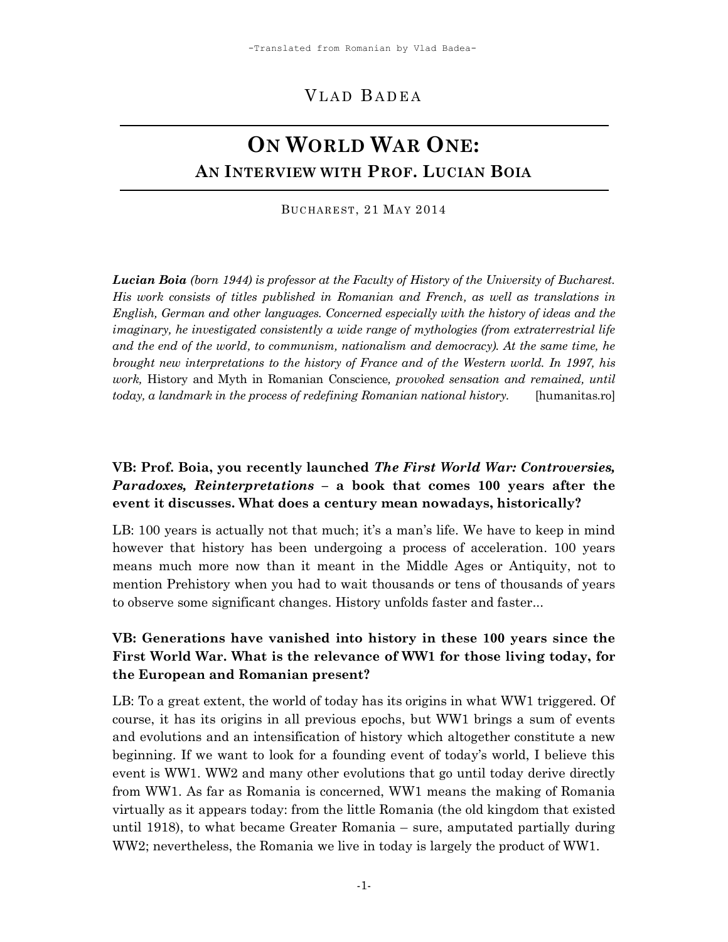# VLAD BADEA

# **ON WORLD WAR ONE: AN INTERVIEW WITH PROF. LUCIAN BOIA**

BUCHAREST, 21 MAY 2014

*Lucian Boia (born 1944) is professor at the Faculty of History of the University of Bucharest. His work consists of titles published in Romanian and French, as well as translations in English, German and other languages. Concerned especially with the history of ideas and the imaginary, he investigated consistently a wide range of mythologies (from extraterrestrial life and the end of the world, to communism, nationalism and democracy). At the same time, he brought new interpretations to the history of France and of the Western world. In 1997, his work,* History and Myth in Romanian Conscience*, provoked sensation and remained, until today, a landmark in the process of redefining Romanian national history.* [humanitas.ro]

## **VB: Prof. Boia, you recently launched** *The First World War: Controversies, Paradoxes, Reinterpretations* **– a book that comes 100 years after the event it discusses. What does a century mean nowadays, historically?**

LB: 100 years is actually not that much; it's a man's life. We have to keep in mind however that history has been undergoing a process of acceleration. 100 years means much more now than it meant in the Middle Ages or Antiquity, not to mention Prehistory when you had to wait thousands or tens of thousands of years to observe some significant changes. History unfolds faster and faster...

# **VB: Generations have vanished into history in these 100 years since the First World War. What is the relevance of WW1 for those living today, for the European and Romanian present?**

LB: To a great extent, the world of today has its origins in what WW1 triggered. Of course, it has its origins in all previous epochs, but WW1 brings a sum of events and evolutions and an intensification of history which altogether constitute a new beginning. If we want to look for a founding event of today"s world, I believe this event is WW1. WW2 and many other evolutions that go until today derive directly from WW1. As far as Romania is concerned, WW1 means the making of Romania virtually as it appears today: from the little Romania (the old kingdom that existed until 1918), to what became Greater Romania – sure, amputated partially during WW2; nevertheless, the Romania we live in today is largely the product of WW1.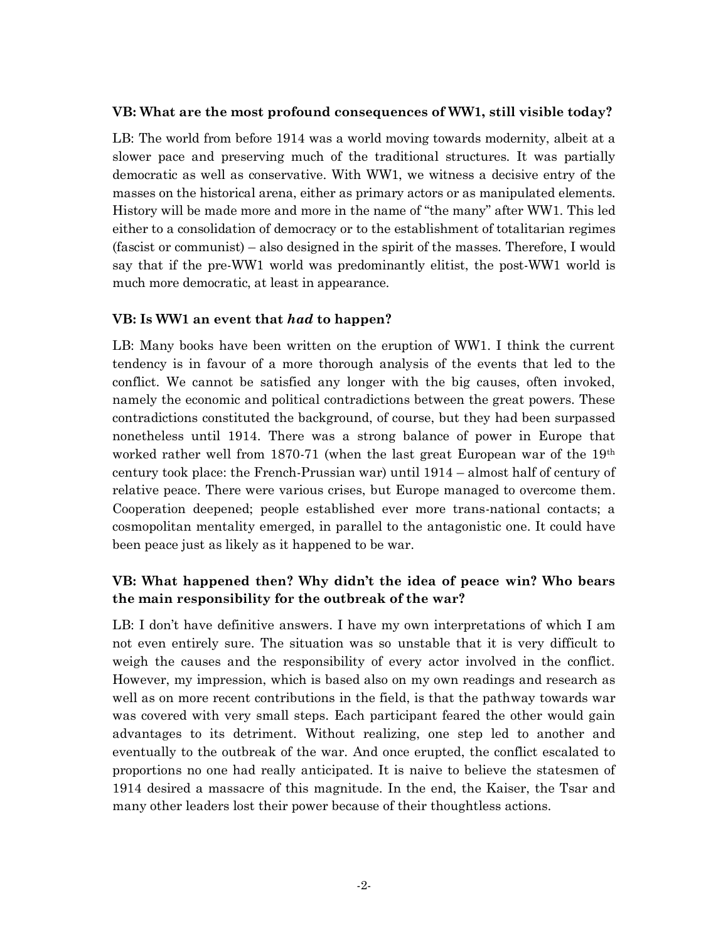#### **VB: What are the most profound consequences of WW1, still visible today?**

LB: The world from before 1914 was a world moving towards modernity, albeit at a slower pace and preserving much of the traditional structures. It was partially democratic as well as conservative. With WW1, we witness a decisive entry of the masses on the historical arena, either as primary actors or as manipulated elements. History will be made more and more in the name of "the many" after WW1. This led either to a consolidation of democracy or to the establishment of totalitarian regimes (fascist or communist) – also designed in the spirit of the masses. Therefore, I would say that if the pre-WW1 world was predominantly elitist, the post-WW1 world is much more democratic, at least in appearance.

#### **VB: Is WW1 an event that** *had* **to happen?**

LB: Many books have been written on the eruption of WW1. I think the current tendency is in favour of a more thorough analysis of the events that led to the conflict. We cannot be satisfied any longer with the big causes, often invoked, namely the economic and political contradictions between the great powers. These contradictions constituted the background, of course, but they had been surpassed nonetheless until 1914. There was a strong balance of power in Europe that worked rather well from 1870-71 (when the last great European war of the  $19<sup>th</sup>$ century took place: the French-Prussian war) until 1914 – almost half of century of relative peace. There were various crises, but Europe managed to overcome them. Cooperation deepened; people established ever more trans-national contacts; a cosmopolitan mentality emerged, in parallel to the antagonistic one. It could have been peace just as likely as it happened to be war.

## **VB: What happened then? Why didn't the idea of peace win? Who bears the main responsibility for the outbreak of the war?**

LB: I don't have definitive answers. I have my own interpretations of which I am not even entirely sure. The situation was so unstable that it is very difficult to weigh the causes and the responsibility of every actor involved in the conflict. However, my impression, which is based also on my own readings and research as well as on more recent contributions in the field, is that the pathway towards war was covered with very small steps. Each participant feared the other would gain advantages to its detriment. Without realizing, one step led to another and eventually to the outbreak of the war. And once erupted, the conflict escalated to proportions no one had really anticipated. It is naive to believe the statesmen of 1914 desired a massacre of this magnitude. In the end, the Kaiser, the Tsar and many other leaders lost their power because of their thoughtless actions.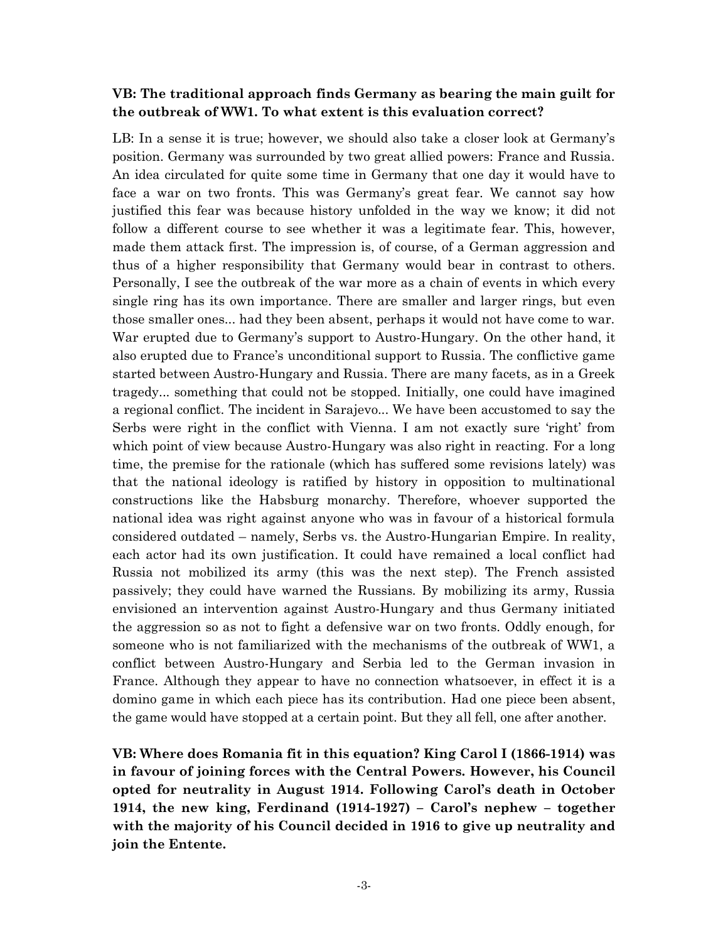#### **VB: The traditional approach finds Germany as bearing the main guilt for the outbreak of WW1. To what extent is this evaluation correct?**

LB: In a sense it is true; however, we should also take a closer look at Germany's position. Germany was surrounded by two great allied powers: France and Russia. An idea circulated for quite some time in Germany that one day it would have to face a war on two fronts. This was Germany's great fear. We cannot say how justified this fear was because history unfolded in the way we know; it did not follow a different course to see whether it was a legitimate fear. This, however, made them attack first. The impression is, of course, of a German aggression and thus of a higher responsibility that Germany would bear in contrast to others. Personally, I see the outbreak of the war more as a chain of events in which every single ring has its own importance. There are smaller and larger rings, but even those smaller ones... had they been absent, perhaps it would not have come to war. War erupted due to Germany's support to Austro-Hungary. On the other hand, it also erupted due to France"s unconditional support to Russia. The conflictive game started between Austro-Hungary and Russia. There are many facets, as in a Greek tragedy... something that could not be stopped. Initially, one could have imagined a regional conflict. The incident in Sarajevo... We have been accustomed to say the Serbs were right in the conflict with Vienna. I am not exactly sure "right" from which point of view because Austro-Hungary was also right in reacting. For a long time, the premise for the rationale (which has suffered some revisions lately) was that the national ideology is ratified by history in opposition to multinational constructions like the Habsburg monarchy. Therefore, whoever supported the national idea was right against anyone who was in favour of a historical formula considered outdated – namely, Serbs vs. the Austro-Hungarian Empire. In reality, each actor had its own justification. It could have remained a local conflict had Russia not mobilized its army (this was the next step). The French assisted passively; they could have warned the Russians. By mobilizing its army, Russia envisioned an intervention against Austro-Hungary and thus Germany initiated the aggression so as not to fight a defensive war on two fronts. Oddly enough, for someone who is not familiarized with the mechanisms of the outbreak of WW1, a conflict between Austro-Hungary and Serbia led to the German invasion in France. Although they appear to have no connection whatsoever, in effect it is a domino game in which each piece has its contribution. Had one piece been absent, the game would have stopped at a certain point. But they all fell, one after another.

**VB: Where does Romania fit in this equation? King Carol I (1866-1914) was in favour of joining forces with the Central Powers. However, his Council opted for neutrality in August 1914. Following Carol's death in October 1914, the new king, Ferdinand (1914-1927) – Carol's nephew – together with the majority of his Council decided in 1916 to give up neutrality and join the Entente.**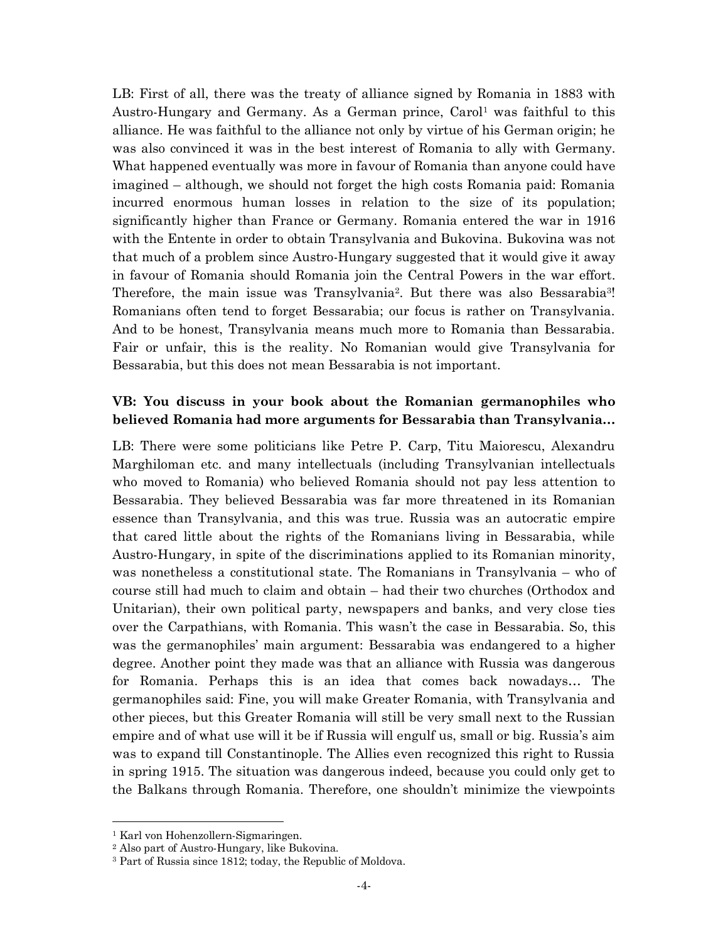LB: First of all, there was the treaty of alliance signed by Romania in 1883 with Austro-Hungary and Germany. As a German prince,  $Carol<sup>1</sup>$  was faithful to this alliance. He was faithful to the alliance not only by virtue of his German origin; he was also convinced it was in the best interest of Romania to ally with Germany. What happened eventually was more in favour of Romania than anyone could have imagined – although, we should not forget the high costs Romania paid: Romania incurred enormous human losses in relation to the size of its population; significantly higher than France or Germany. Romania entered the war in 1916 with the Entente in order to obtain Transylvania and Bukovina. Bukovina was not that much of a problem since Austro-Hungary suggested that it would give it away in favour of Romania should Romania join the Central Powers in the war effort. Therefore, the main issue was Transylvania<sup>2</sup>. But there was also Bessarabia<sup>3</sup>! Romanians often tend to forget Bessarabia; our focus is rather on Transylvania. And to be honest, Transylvania means much more to Romania than Bessarabia. Fair or unfair, this is the reality. No Romanian would give Transylvania for Bessarabia, but this does not mean Bessarabia is not important.

#### **VB: You discuss in your book about the Romanian germanophiles who believed Romania had more arguments for Bessarabia than Transylvania…**

LB: There were some politicians like Petre P. Carp, Titu Maiorescu, Alexandru Marghiloman etc. and many intellectuals (including Transylvanian intellectuals who moved to Romania) who believed Romania should not pay less attention to Bessarabia. They believed Bessarabia was far more threatened in its Romanian essence than Transylvania, and this was true. Russia was an autocratic empire that cared little about the rights of the Romanians living in Bessarabia, while Austro-Hungary, in spite of the discriminations applied to its Romanian minority, was nonetheless a constitutional state. The Romanians in Transylvania – who of course still had much to claim and obtain – had their two churches (Orthodox and Unitarian), their own political party, newspapers and banks, and very close ties over the Carpathians, with Romania. This wasn"t the case in Bessarabia. So, this was the germanophiles' main argument: Bessarabia was endangered to a higher degree. Another point they made was that an alliance with Russia was dangerous for Romania. Perhaps this is an idea that comes back nowadays… The germanophiles said: Fine, you will make Greater Romania, with Transylvania and other pieces, but this Greater Romania will still be very small next to the Russian empire and of what use will it be if Russia will engulf us, small or big. Russia's aim was to expand till Constantinople. The Allies even recognized this right to Russia in spring 1915. The situation was dangerous indeed, because you could only get to the Balkans through Romania. Therefore, one shouldn"t minimize the viewpoints

 $\overline{\phantom{a}}$ 

<sup>1</sup> Karl von Hohenzollern-Sigmaringen.

<sup>2</sup> Also part of Austro-Hungary, like Bukovina.

<sup>3</sup> Part of Russia since 1812; today, the Republic of Moldova.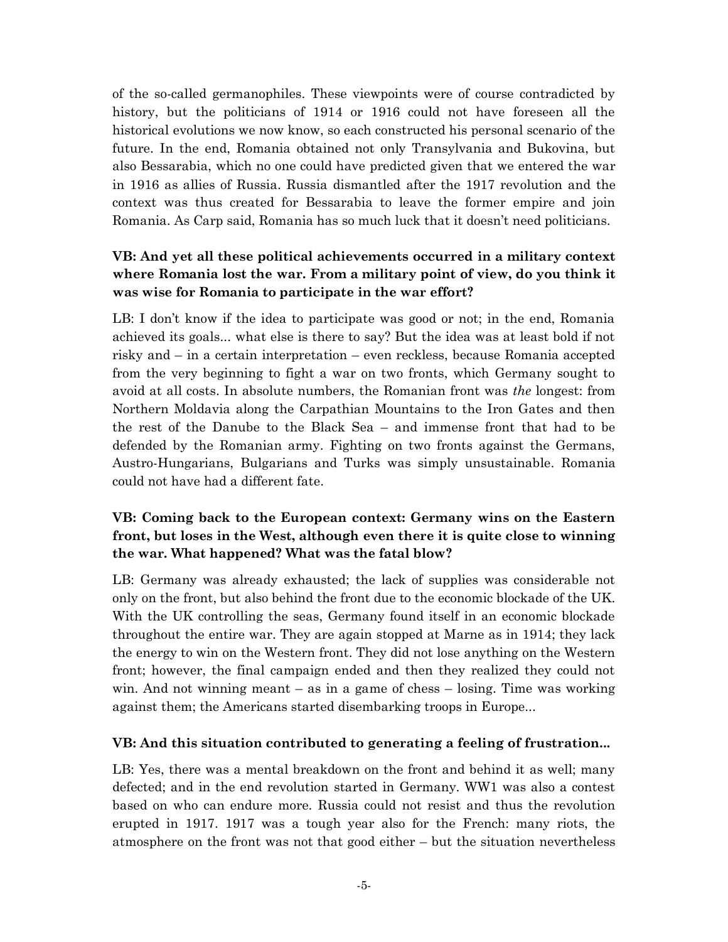of the so-called germanophiles. These viewpoints were of course contradicted by history, but the politicians of 1914 or 1916 could not have foreseen all the historical evolutions we now know, so each constructed his personal scenario of the future. In the end, Romania obtained not only Transylvania and Bukovina, but also Bessarabia, which no one could have predicted given that we entered the war in 1916 as allies of Russia. Russia dismantled after the 1917 revolution and the context was thus created for Bessarabia to leave the former empire and join Romania. As Carp said, Romania has so much luck that it doesn"t need politicians.

# **VB: And yet all these political achievements occurred in a military context where Romania lost the war. From a military point of view, do you think it was wise for Romania to participate in the war effort?**

LB: I don't know if the idea to participate was good or not; in the end, Romania achieved its goals... what else is there to say? But the idea was at least bold if not risky and – in a certain interpretation – even reckless, because Romania accepted from the very beginning to fight a war on two fronts, which Germany sought to avoid at all costs. In absolute numbers, the Romanian front was *the* longest: from Northern Moldavia along the Carpathian Mountains to the Iron Gates and then the rest of the Danube to the Black Sea – and immense front that had to be defended by the Romanian army. Fighting on two fronts against the Germans, Austro-Hungarians, Bulgarians and Turks was simply unsustainable. Romania could not have had a different fate.

# **VB: Coming back to the European context: Germany wins on the Eastern front, but loses in the West, although even there it is quite close to winning the war. What happened? What was the fatal blow?**

LB: Germany was already exhausted; the lack of supplies was considerable not only on the front, but also behind the front due to the economic blockade of the UK. With the UK controlling the seas, Germany found itself in an economic blockade throughout the entire war. They are again stopped at Marne as in 1914; they lack the energy to win on the Western front. They did not lose anything on the Western front; however, the final campaign ended and then they realized they could not win. And not winning meant  $-$  as in a game of chess  $-$  losing. Time was working against them; the Americans started disembarking troops in Europe...

## **VB: And this situation contributed to generating a feeling of frustration...**

LB: Yes, there was a mental breakdown on the front and behind it as well; many defected; and in the end revolution started in Germany. WW1 was also a contest based on who can endure more. Russia could not resist and thus the revolution erupted in 1917. 1917 was a tough year also for the French: many riots, the atmosphere on the front was not that good either – but the situation nevertheless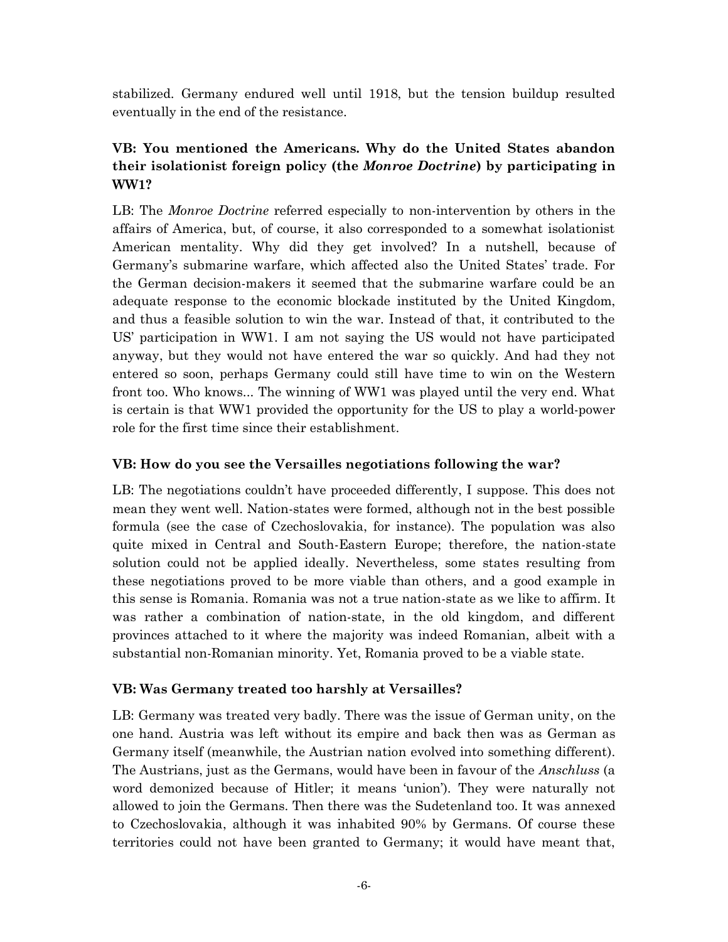stabilized. Germany endured well until 1918, but the tension buildup resulted eventually in the end of the resistance.

# **VB: You mentioned the Americans. Why do the United States abandon their isolationist foreign policy (the** *Monroe Doctrine***) by participating in WW1?**

LB: The *Monroe Doctrine* referred especially to non-intervention by others in the affairs of America, but, of course, it also corresponded to a somewhat isolationist American mentality. Why did they get involved? In a nutshell, because of Germany"s submarine warfare, which affected also the United States" trade. For the German decision-makers it seemed that the submarine warfare could be an adequate response to the economic blockade instituted by the United Kingdom, and thus a feasible solution to win the war. Instead of that, it contributed to the US" participation in WW1. I am not saying the US would not have participated anyway, but they would not have entered the war so quickly. And had they not entered so soon, perhaps Germany could still have time to win on the Western front too. Who knows... The winning of WW1 was played until the very end. What is certain is that WW1 provided the opportunity for the US to play a world-power role for the first time since their establishment.

## **VB: How do you see the Versailles negotiations following the war?**

LB: The negotiations couldn't have proceeded differently, I suppose. This does not mean they went well. Nation-states were formed, although not in the best possible formula (see the case of Czechoslovakia, for instance). The population was also quite mixed in Central and South-Eastern Europe; therefore, the nation-state solution could not be applied ideally. Nevertheless, some states resulting from these negotiations proved to be more viable than others, and a good example in this sense is Romania. Romania was not a true nation-state as we like to affirm. It was rather a combination of nation-state, in the old kingdom, and different provinces attached to it where the majority was indeed Romanian, albeit with a substantial non-Romanian minority. Yet, Romania proved to be a viable state.

## **VB: Was Germany treated too harshly at Versailles?**

LB: Germany was treated very badly. There was the issue of German unity, on the one hand. Austria was left without its empire and back then was as German as Germany itself (meanwhile, the Austrian nation evolved into something different). The Austrians, just as the Germans, would have been in favour of the *Anschluss* (a word demonized because of Hitler; it means 'union'). They were naturally not allowed to join the Germans. Then there was the Sudetenland too. It was annexed to Czechoslovakia, although it was inhabited 90% by Germans. Of course these territories could not have been granted to Germany; it would have meant that,